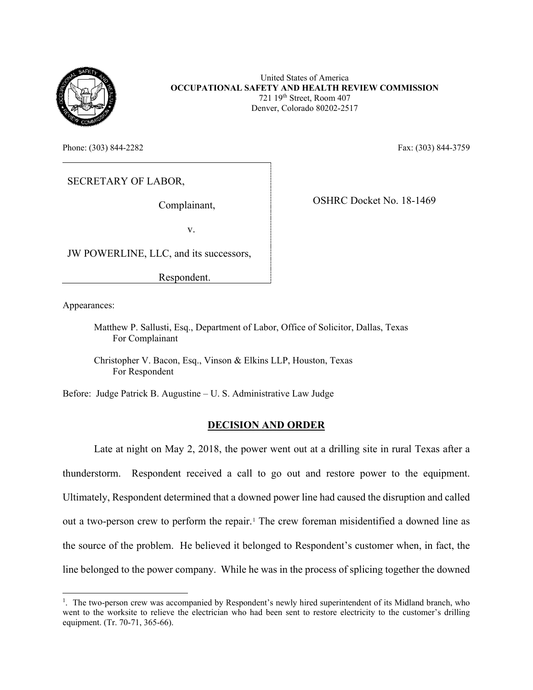

United States of America **OCCUPATIONAL SAFETY AND HEALTH REVIEW COMMISSION** 721 19th Street, Room 407 Denver, Colorado 80202-2517

Phone: (303) 844-2282 Fax: (303) 844-2759

SECRETARY OF LABOR,

Complainant,

OSHRC Docket No. 18-1469

v.

JW POWERLINE, LLC, and its successors,

Respondent.

Appearances:

Matthew P. Sallusti, Esq., Department of Labor, Office of Solicitor, Dallas, Texas For Complainant

Christopher V. Bacon, Esq., Vinson & Elkins LLP, Houston, Texas For Respondent

Before: Judge Patrick B. Augustine – U. S. Administrative Law Judge

### **DECISION AND ORDER**

Late at night on May 2, 2018, the power went out at a drilling site in rural Texas after a thunderstorm. Respondent received a call to go out and restore power to the equipment. Ultimately, Respondent determined that a downed power line had caused the disruption and called out a two-person crew to perform the repair.<sup>[1](#page-0-0)</sup> The crew foreman misidentified a downed line as the source of the problem. He believed it belonged to Respondent's customer when, in fact, the line belonged to the power company. While he was in the process of splicing together the downed

<span id="page-0-0"></span><sup>&</sup>lt;sup>1</sup>. The two-person crew was accompanied by Respondent's newly hired superintendent of its Midland branch, who went to the worksite to relieve the electrician who had been sent to restore electricity to the customer's drilling equipment. (Tr. 70-71, 365-66).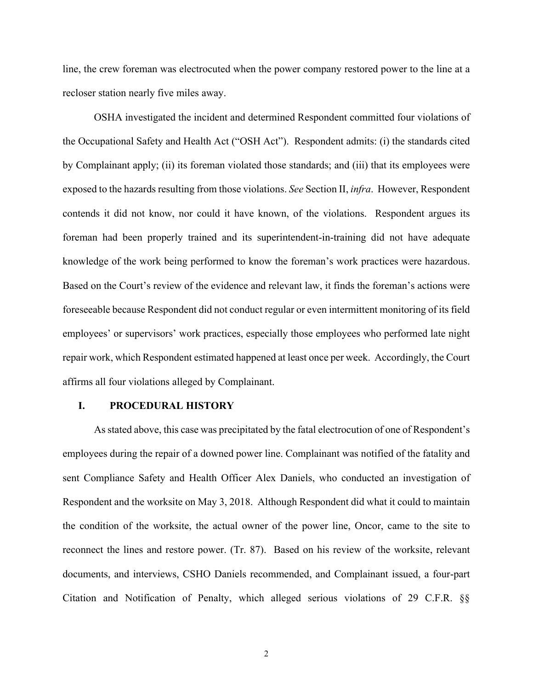line, the crew foreman was electrocuted when the power company restored power to the line at a recloser station nearly five miles away.

OSHA investigated the incident and determined Respondent committed four violations of the Occupational Safety and Health Act ("OSH Act"). Respondent admits: (i) the standards cited by Complainant apply; (ii) its foreman violated those standards; and (iii) that its employees were exposed to the hazards resulting from those violations. *See* Section II, *infra*. However, Respondent contends it did not know, nor could it have known, of the violations. Respondent argues its foreman had been properly trained and its superintendent-in-training did not have adequate knowledge of the work being performed to know the foreman's work practices were hazardous. Based on the Court's review of the evidence and relevant law, it finds the foreman's actions were foreseeable because Respondent did not conduct regular or even intermittent monitoring of its field employees' or supervisors' work practices, especially those employees who performed late night repair work, which Respondent estimated happened at least once per week. Accordingly, the Court affirms all four violations alleged by Complainant.

#### **I. PROCEDURAL HISTORY**

As stated above, this case was precipitated by the fatal electrocution of one of Respondent's employees during the repair of a downed power line. Complainant was notified of the fatality and sent Compliance Safety and Health Officer Alex Daniels, who conducted an investigation of Respondent and the worksite on May 3, 2018. Although Respondent did what it could to maintain the condition of the worksite, the actual owner of the power line, Oncor, came to the site to reconnect the lines and restore power. (Tr. 87). Based on his review of the worksite, relevant documents, and interviews, CSHO Daniels recommended, and Complainant issued, a four-part Citation and Notification of Penalty, which alleged serious violations of 29 C.F.R. §§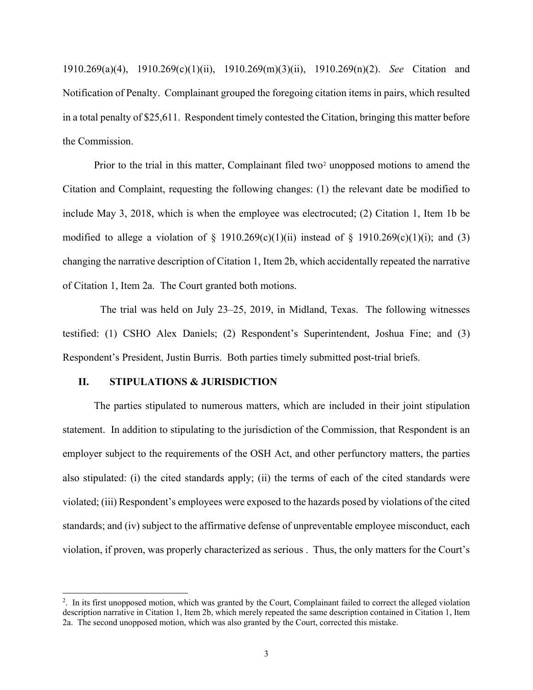1910.269(a)(4), 1910.269(c)(1)(ii), 1910.269(m)(3)(ii), 1910.269(n)(2). *See* Citation and Notification of Penalty. Complainant grouped the foregoing citation items in pairs, which resulted in a total penalty of \$25,611. Respondent timely contested the Citation, bringing this matter before the Commission.

Prior to the trial in this matter, Complainant filed two<sup>[2](#page-2-0)</sup> unopposed motions to amend the Citation and Complaint, requesting the following changes: (1) the relevant date be modified to include May 3, 2018, which is when the employee was electrocuted; (2) Citation 1, Item 1b be modified to allege a violation of  $\S$  1910.269(c)(1)(ii) instead of  $\S$  1910.269(c)(1)(i); and (3) changing the narrative description of Citation 1, Item 2b, which accidentally repeated the narrative of Citation 1, Item 2a. The Court granted both motions.

 The trial was held on July 23–25, 2019, in Midland, Texas. The following witnesses testified: (1) CSHO Alex Daniels; (2) Respondent's Superintendent, Joshua Fine; and (3) Respondent's President, Justin Burris. Both parties timely submitted post-trial briefs.

#### **II. STIPULATIONS & JURISDICTION**

The parties stipulated to numerous matters, which are included in their joint stipulation statement. In addition to stipulating to the jurisdiction of the Commission, that Respondent is an employer subject to the requirements of the OSH Act, and other perfunctory matters, the parties also stipulated: (i) the cited standards apply; (ii) the terms of each of the cited standards were violated; (iii) Respondent's employees were exposed to the hazards posed by violations of the cited standards; and (iv) subject to the affirmative defense of unpreventable employee misconduct, each violation, if proven, was properly characterized as serious . Thus, the only matters for the Court's

<span id="page-2-0"></span><sup>&</sup>lt;sup>2</sup>. In its first unopposed motion, which was granted by the Court, Complainant failed to correct the alleged violation description narrative in Citation 1, Item 2b, which merely repeated the same description contained in Citation 1, Item 2a. The second unopposed motion, which was also granted by the Court, corrected this mistake.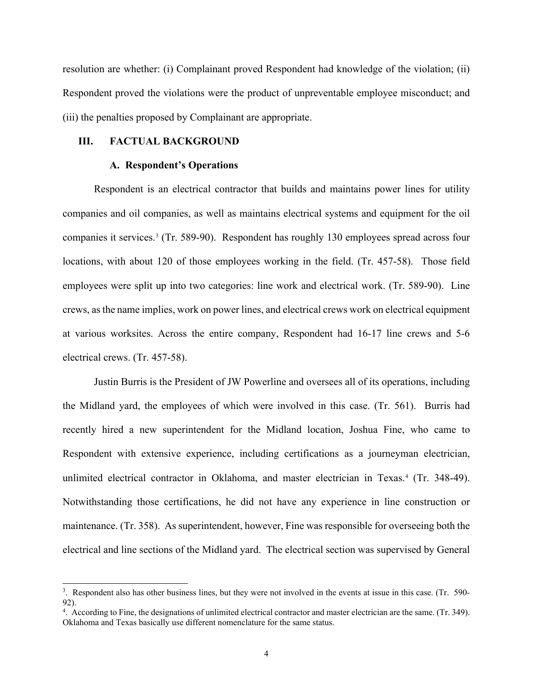resolution are whether: (i) Complainant proved Respondent had knowledge of the violation; (ii) Respondent proved the violations were the product of unpreventable employee misconduct; and (iii) the penalties proposed by Complainant are appropriate.

### **III. FACTUAL BACKGROUND**

#### **A. Respondent's Operations**

Respondent is an electrical contractor that builds and maintains power lines for utility companies and oil companies, as well as maintains electrical systems and equipment for the oil companies it services.[3](#page-3-0) (Tr. 589-90). Respondent has roughly 130 employees spread across four locations, with about 120 of those employees working in the field. (Tr. 457-58). Those field employees were split up into two categories: line work and electrical work. (Tr. 589-90). Line crews, as the name implies, work on power lines, and electrical crews work on electrical equipment at various worksites. Across the entire company, Respondent had 16-17 line crews and 5-6 electrical crews. (Tr. 457-58).

 Justin Burris is the President of JW Powerline and oversees all of its operations, including the Midland yard, the employees of which were involved in this case. (Tr. 561). Burris had recently hired a new superintendent for the Midland location, Joshua Fine, who came to Respondent with extensive experience, including certifications as a journeyman electrician, unlimited electrical contractor in Oklahoma, and master electrician in Texas.[4](#page-3-1) (Tr. 348-49). Notwithstanding those certifications, he did not have any experience in line construction or maintenance. (Tr. 358). As superintendent, however, Fine was responsible for overseeing both the electrical and line sections of the Midland yard. The electrical section was supervised by General

<span id="page-3-0"></span><sup>&</sup>lt;sup>3</sup>. Respondent also has other business lines, but they were not involved in the events at issue in this case. (Tr. 590-92).

<span id="page-3-1"></span><sup>&</sup>lt;sup>4</sup>. According to Fine, the designations of unlimited electrical contractor and master electrician are the same. (Tr. 349). Oklahoma and Texas basically use different nomenclature for the same status.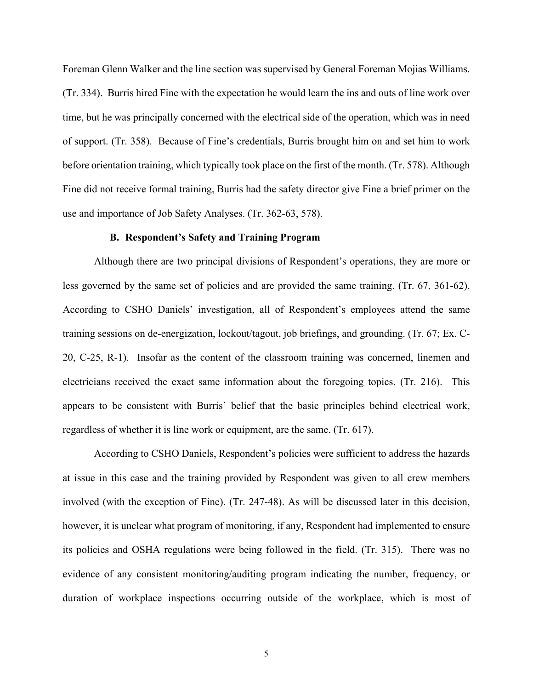Foreman Glenn Walker and the line section was supervised by General Foreman Mojias Williams. (Tr. 334). Burris hired Fine with the expectation he would learn the ins and outs of line work over time, but he was principally concerned with the electrical side of the operation, which was in need of support. (Tr. 358). Because of Fine's credentials, Burris brought him on and set him to work before orientation training, which typically took place on the first of the month. (Tr. 578). Although Fine did not receive formal training, Burris had the safety director give Fine a brief primer on the use and importance of Job Safety Analyses. (Tr. 362-63, 578).

### **B. Respondent's Safety and Training Program**

Although there are two principal divisions of Respondent's operations, they are more or less governed by the same set of policies and are provided the same training. (Tr. 67, 361-62). According to CSHO Daniels' investigation, all of Respondent's employees attend the same training sessions on de-energization, lockout/tagout, job briefings, and grounding. (Tr. 67; Ex. C-20, C-25, R-1). Insofar as the content of the classroom training was concerned, linemen and electricians received the exact same information about the foregoing topics. (Tr. 216). This appears to be consistent with Burris' belief that the basic principles behind electrical work, regardless of whether it is line work or equipment, are the same. (Tr. 617).

According to CSHO Daniels, Respondent's policies were sufficient to address the hazards at issue in this case and the training provided by Respondent was given to all crew members involved (with the exception of Fine). (Tr. 247-48). As will be discussed later in this decision, however, it is unclear what program of monitoring, if any, Respondent had implemented to ensure its policies and OSHA regulations were being followed in the field. (Tr. 315). There was no evidence of any consistent monitoring/auditing program indicating the number, frequency, or duration of workplace inspections occurring outside of the workplace, which is most of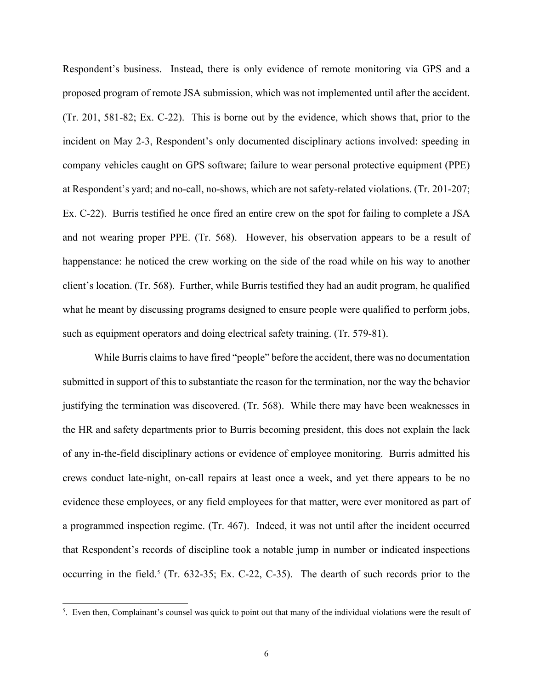Respondent's business. Instead, there is only evidence of remote monitoring via GPS and a proposed program of remote JSA submission, which was not implemented until after the accident. (Tr. 201, 581-82; Ex. C-22). This is borne out by the evidence, which shows that, prior to the incident on May 2-3, Respondent's only documented disciplinary actions involved: speeding in company vehicles caught on GPS software; failure to wear personal protective equipment (PPE) at Respondent's yard; and no-call, no-shows, which are not safety-related violations. (Tr. 201-207; Ex. C-22). Burris testified he once fired an entire crew on the spot for failing to complete a JSA and not wearing proper PPE. (Tr. 568). However, his observation appears to be a result of happenstance: he noticed the crew working on the side of the road while on his way to another client's location. (Tr. 568). Further, while Burris testified they had an audit program, he qualified what he meant by discussing programs designed to ensure people were qualified to perform jobs, such as equipment operators and doing electrical safety training. (Tr. 579-81).

 While Burris claims to have fired "people" before the accident, there was no documentation submitted in support of this to substantiate the reason for the termination, nor the way the behavior justifying the termination was discovered. (Tr. 568). While there may have been weaknesses in the HR and safety departments prior to Burris becoming president, this does not explain the lack of any in-the-field disciplinary actions or evidence of employee monitoring. Burris admitted his crews conduct late-night, on-call repairs at least once a week, and yet there appears to be no evidence these employees, or any field employees for that matter, were ever monitored as part of a programmed inspection regime. (Tr. 467). Indeed, it was not until after the incident occurred that Respondent's records of discipline took a notable jump in number or indicated inspections occurring in the field. [5](#page-5-0) (Tr. 632-35; Ex. C-22, C-35). The dearth of such records prior to the

<span id="page-5-0"></span> $5$ . Even then, Complainant's counsel was quick to point out that many of the individual violations were the result of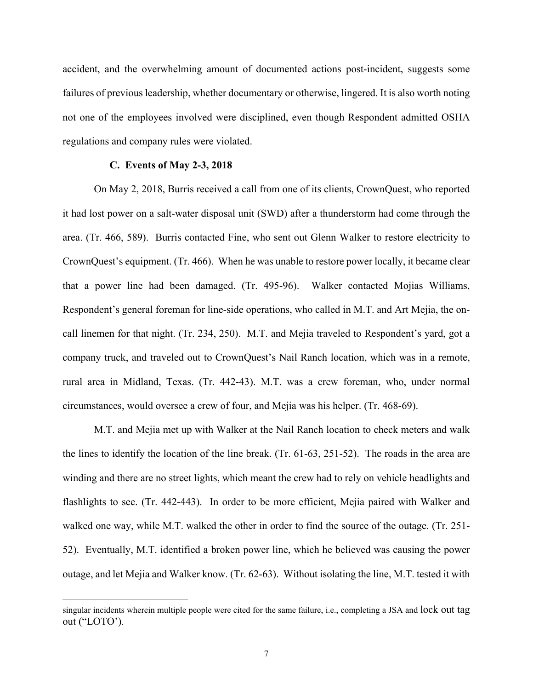accident, and the overwhelming amount of documented actions post-incident, suggests some failures of previous leadership, whether documentary or otherwise, lingered. It is also worth noting not one of the employees involved were disciplined, even though Respondent admitted OSHA regulations and company rules were violated.

#### **C. Events of May 2-3, 2018**

 On May 2, 2018, Burris received a call from one of its clients, CrownQuest, who reported it had lost power on a salt-water disposal unit (SWD) after a thunderstorm had come through the area. (Tr. 466, 589). Burris contacted Fine, who sent out Glenn Walker to restore electricity to CrownQuest's equipment. (Tr. 466). When he was unable to restore power locally, it became clear that a power line had been damaged. (Tr. 495-96). Walker contacted Mojias Williams, Respondent's general foreman for line-side operations, who called in M.T. and Art Mejia, the oncall linemen for that night. (Tr. 234, 250). M.T. and Mejia traveled to Respondent's yard, got a company truck, and traveled out to CrownQuest's Nail Ranch location, which was in a remote, rural area in Midland, Texas. (Tr. 442-43). M.T. was a crew foreman, who, under normal circumstances, would oversee a crew of four, and Mejia was his helper. (Tr. 468-69).

M.T. and Mejia met up with Walker at the Nail Ranch location to check meters and walk the lines to identify the location of the line break. (Tr. 61-63, 251-52). The roads in the area are winding and there are no street lights, which meant the crew had to rely on vehicle headlights and flashlights to see. (Tr. 442-443). In order to be more efficient, Mejia paired with Walker and walked one way, while M.T. walked the other in order to find the source of the outage. (Tr. 251- 52). Eventually, M.T. identified a broken power line, which he believed was causing the power outage, and let Mejia and Walker know. (Tr. 62-63). Without isolating the line, M.T. tested it with

singular incidents wherein multiple people were cited for the same failure, i.e., completing a JSA and lock out tag out ("LOTO').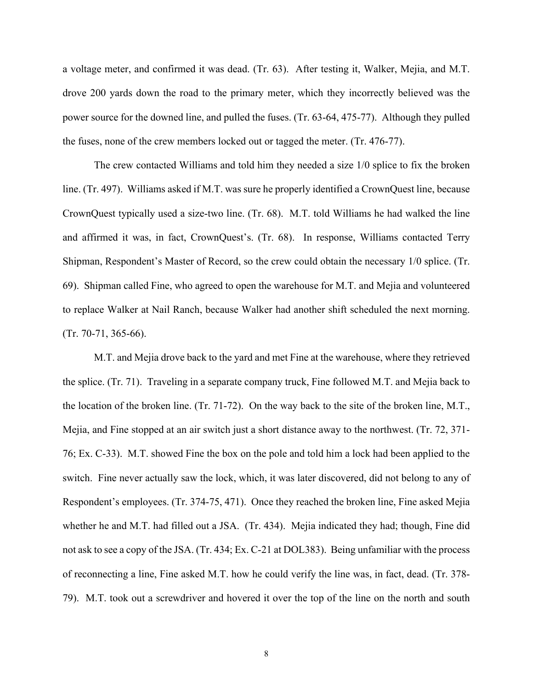a voltage meter, and confirmed it was dead. (Tr. 63). After testing it, Walker, Mejia, and M.T. drove 200 yards down the road to the primary meter, which they incorrectly believed was the power source for the downed line, and pulled the fuses. (Tr. 63-64, 475-77). Although they pulled the fuses, none of the crew members locked out or tagged the meter. (Tr. 476-77).

The crew contacted Williams and told him they needed a size 1/0 splice to fix the broken line. (Tr. 497). Williams asked if M.T. was sure he properly identified a CrownQuest line, because CrownQuest typically used a size-two line. (Tr. 68). M.T. told Williams he had walked the line and affirmed it was, in fact, CrownQuest's. (Tr. 68). In response, Williams contacted Terry Shipman, Respondent's Master of Record, so the crew could obtain the necessary 1/0 splice. (Tr. 69). Shipman called Fine, who agreed to open the warehouse for M.T. and Mejia and volunteered to replace Walker at Nail Ranch, because Walker had another shift scheduled the next morning. (Tr. 70-71, 365-66).

M.T. and Mejia drove back to the yard and met Fine at the warehouse, where they retrieved the splice. (Tr. 71). Traveling in a separate company truck, Fine followed M.T. and Mejia back to the location of the broken line. (Tr. 71-72). On the way back to the site of the broken line, M.T., Mejia, and Fine stopped at an air switch just a short distance away to the northwest. (Tr. 72, 371- 76; Ex. C-33). M.T. showed Fine the box on the pole and told him a lock had been applied to the switch. Fine never actually saw the lock, which, it was later discovered, did not belong to any of Respondent's employees. (Tr. 374-75, 471). Once they reached the broken line, Fine asked Mejia whether he and M.T. had filled out a JSA. (Tr. 434). Mejia indicated they had; though, Fine did not ask to see a copy of the JSA. (Tr. 434; Ex. C-21 at DOL383). Being unfamiliar with the process of reconnecting a line, Fine asked M.T. how he could verify the line was, in fact, dead. (Tr. 378- 79). M.T. took out a screwdriver and hovered it over the top of the line on the north and south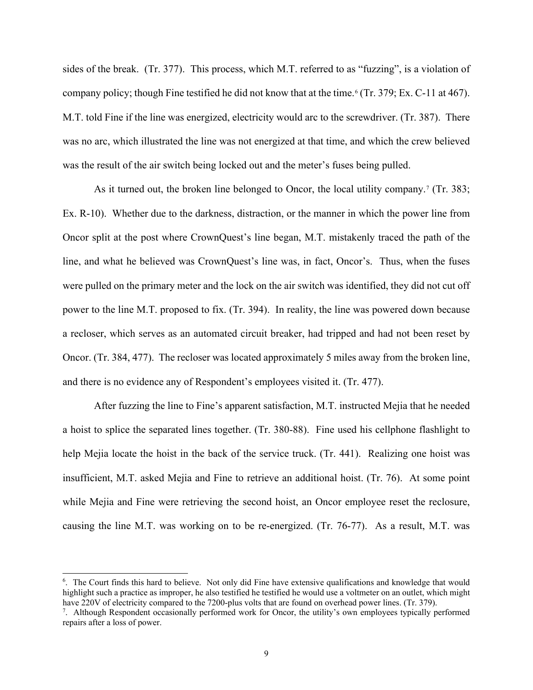sides of the break. (Tr. 377). This process, which M.T. referred to as "fuzzing", is a violation of company policy; though Fine testified he did not know that at the time.<sup>[6](#page-8-0)</sup> (Tr. 379; Ex. C-11 at 467). M.T. told Fine if the line was energized, electricity would arc to the screwdriver. (Tr. 387). There was no arc, which illustrated the line was not energized at that time, and which the crew believed was the result of the air switch being locked out and the meter's fuses being pulled.

As it turned out, the broken line belonged to Oncor, the local utility company.<sup>[7](#page-8-1)</sup> (Tr. 383; Ex. R-10). Whether due to the darkness, distraction, or the manner in which the power line from Oncor split at the post where CrownQuest's line began, M.T. mistakenly traced the path of the line, and what he believed was CrownQuest's line was, in fact, Oncor's. Thus, when the fuses were pulled on the primary meter and the lock on the air switch was identified, they did not cut off power to the line M.T. proposed to fix. (Tr. 394). In reality, the line was powered down because a recloser, which serves as an automated circuit breaker, had tripped and had not been reset by Oncor. (Tr. 384, 477). The recloser was located approximately 5 miles away from the broken line, and there is no evidence any of Respondent's employees visited it. (Tr. 477).

After fuzzing the line to Fine's apparent satisfaction, M.T. instructed Mejia that he needed a hoist to splice the separated lines together. (Tr. 380-88). Fine used his cellphone flashlight to help Mejia locate the hoist in the back of the service truck. (Tr. 441). Realizing one hoist was insufficient, M.T. asked Mejia and Fine to retrieve an additional hoist. (Tr. 76). At some point while Mejia and Fine were retrieving the second hoist, an Oncor employee reset the reclosure, causing the line M.T. was working on to be re-energized. (Tr. 76-77). As a result, M.T. was

<span id="page-8-0"></span><sup>&</sup>lt;sup>6</sup>. The Court finds this hard to believe. Not only did Fine have extensive qualifications and knowledge that would highlight such a practice as improper, he also testified he testified he would use a voltmeter on an outlet, which might have 220V of electricity compared to the 7200-plus volts that are found on overhead power lines. (Tr. 379).

<span id="page-8-1"></span><sup>&</sup>lt;sup>7</sup>. Although Respondent occasionally performed work for Oncor, the utility's own employees typically performed repairs after a loss of power.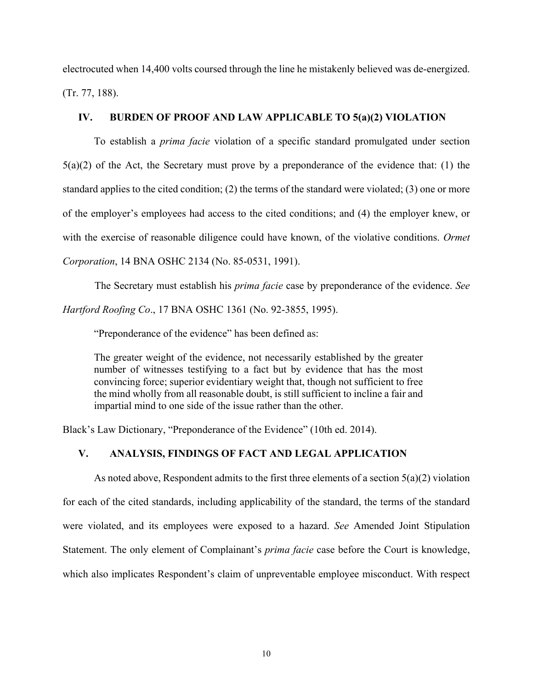electrocuted when 14,400 volts coursed through the line he mistakenly believed was de-energized. (Tr. 77, 188).

# **IV. BURDEN OF PROOF AND LAW APPLICABLE TO 5(a)(2) VIOLATION**

To establish a *prima facie* violation of a specific standard promulgated under section  $5(a)(2)$  of the Act, the Secretary must prove by a preponderance of the evidence that: (1) the standard applies to the cited condition; (2) the terms of the standard were violated; (3) one or more of the employer's employees had access to the cited conditions; and (4) the employer knew, or with the exercise of reasonable diligence could have known, of the violative conditions. *Ormet Corporation*, 14 BNA OSHC 2134 (No. 85-0531, 1991).

The Secretary must establish his *prima facie* case by preponderance of the evidence. *See Hartford Roofing Co*., 17 BNA OSHC 1361 (No. 92-3855, 1995).

"Preponderance of the evidence" has been defined as:

The greater weight of the evidence, not necessarily established by the greater number of witnesses testifying to a fact but by evidence that has the most convincing force; superior evidentiary weight that, though not sufficient to free the mind wholly from all reasonable doubt, is still sufficient to incline a fair and impartial mind to one side of the issue rather than the other.

Black's Law Dictionary, "Preponderance of the Evidence" (10th ed. 2014).

# **V. ANALYSIS, FINDINGS OF FACT AND LEGAL APPLICATION**

As noted above, Respondent admits to the first three elements of a section  $5(a)(2)$  violation for each of the cited standards, including applicability of the standard, the terms of the standard were violated, and its employees were exposed to a hazard. *See* Amended Joint Stipulation Statement. The only element of Complainant's *prima facie* case before the Court is knowledge, which also implicates Respondent's claim of unpreventable employee misconduct. With respect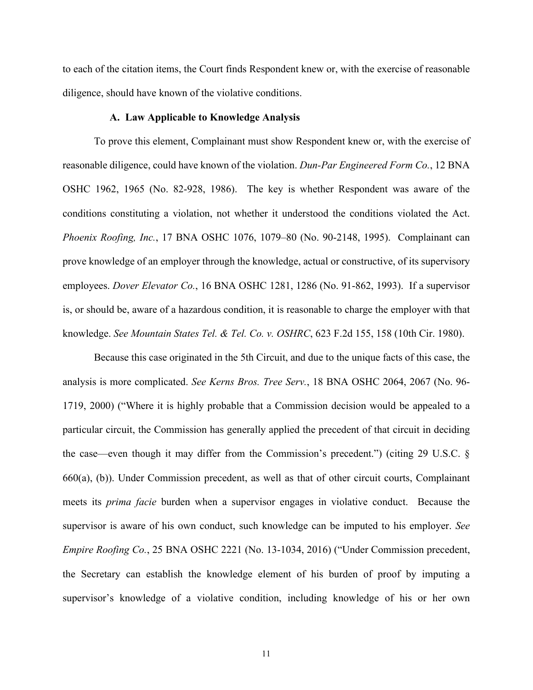to each of the citation items, the Court finds Respondent knew or, with the exercise of reasonable diligence, should have known of the violative conditions.

## **A. Law Applicable to Knowledge Analysis**

To prove this element, Complainant must show Respondent knew or, with the exercise of reasonable diligence, could have known of the violation. *Dun-Par Engineered Form Co.*, 12 BNA OSHC 1962, 1965 (No. 82-928, 1986). The key is whether Respondent was aware of the conditions constituting a violation, not whether it understood the conditions violated the Act. *Phoenix Roofing, Inc.*, 17 BNA OSHC 1076, 1079–80 (No. 90-2148, 1995). Complainant can prove knowledge of an employer through the knowledge, actual or constructive, of its supervisory employees. *Dover Elevator Co.*, 16 BNA OSHC 1281, 1286 (No. 91-862, 1993). If a supervisor is, or should be, aware of a hazardous condition, it is reasonable to charge the employer with that knowledge. *See Mountain States Tel. & Tel. Co. v. OSHRC*, 623 F.2d 155, 158 (10th Cir. 1980).

Because this case originated in the 5th Circuit, and due to the unique facts of this case, the analysis is more complicated. *See Kerns Bros. Tree Serv.*, 18 BNA OSHC 2064, 2067 (No. 96- 1719, 2000) ("Where it is highly probable that a Commission decision would be appealed to a particular circuit, the Commission has generally applied the precedent of that circuit in deciding the case—even though it may differ from the Commission's precedent.") (citing 29 U.S.C. § 660(a), (b)). Under Commission precedent, as well as that of other circuit courts, Complainant meets its *prima facie* burden when a supervisor engages in violative conduct. Because the supervisor is aware of his own conduct, such knowledge can be imputed to his employer. *See Empire Roofing Co.*, 25 BNA OSHC 2221 (No. 13-1034, 2016) ("Under Commission precedent, the Secretary can establish the knowledge element of his burden of proof by imputing a supervisor's knowledge of a violative condition, including knowledge of his or her own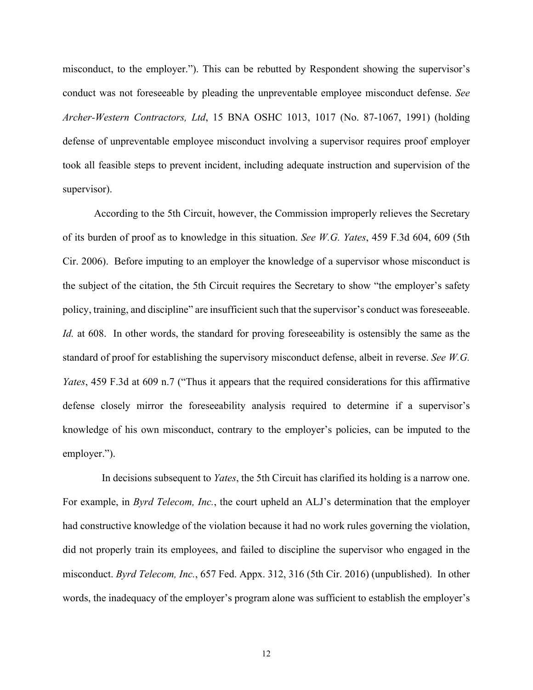misconduct, to the employer."). This can be rebutted by Respondent showing the supervisor's conduct was not foreseeable by pleading the unpreventable employee misconduct defense. *See Archer-Western Contractors, Ltd*, 15 BNA OSHC 1013, 1017 (No. 87-1067, 1991) (holding defense of unpreventable employee misconduct involving a supervisor requires proof employer took all feasible steps to prevent incident, including adequate instruction and supervision of the supervisor).

According to the 5th Circuit, however, the Commission improperly relieves the Secretary of its burden of proof as to knowledge in this situation. *See W.G. Yates*, 459 F.3d 604, 609 (5th Cir. 2006). Before imputing to an employer the knowledge of a supervisor whose misconduct is the subject of the citation, the 5th Circuit requires the Secretary to show "the employer's safety policy, training, and discipline" are insufficient such that the supervisor's conduct was foreseeable. *Id.* at 608. In other words, the standard for proving foreseeability is ostensibly the same as the standard of proof for establishing the supervisory misconduct defense, albeit in reverse. *See W.G. Yates*, 459 F.3d at 609 n.7 ("Thus it appears that the required considerations for this affirmative defense closely mirror the foreseeability analysis required to determine if a supervisor's knowledge of his own misconduct, contrary to the employer's policies, can be imputed to the employer.").

In decisions subsequent to *Yates*, the 5th Circuit has clarified its holding is a narrow one. For example, in *Byrd Telecom, Inc.*, the court upheld an ALJ's determination that the employer had constructive knowledge of the violation because it had no work rules governing the violation, did not properly train its employees, and failed to discipline the supervisor who engaged in the misconduct. *Byrd Telecom, Inc.*, 657 Fed. Appx. 312, 316 (5th Cir. 2016) (unpublished). In other words, the inadequacy of the employer's program alone was sufficient to establish the employer's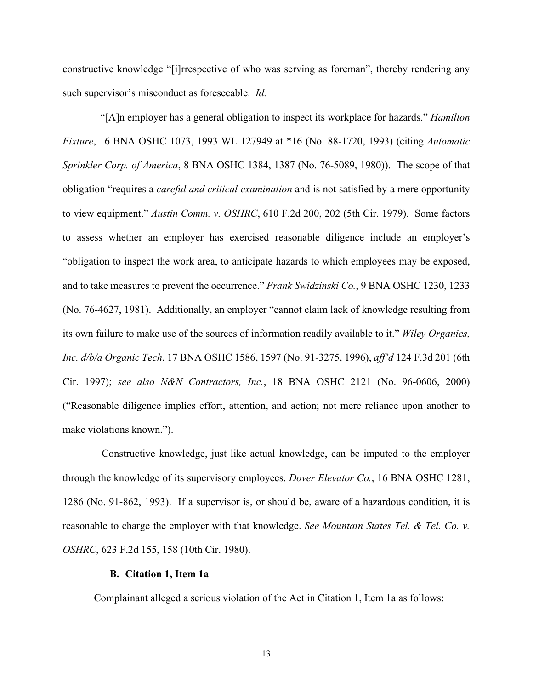constructive knowledge "[i]rrespective of who was serving as foreman", thereby rendering any such supervisor's misconduct as foreseeable. *Id.*

"[A]n employer has a general obligation to inspect its workplace for hazards." *Hamilton Fixture*, 16 BNA OSHC 1073, 1993 WL 127949 at \*16 (No. 88-1720, 1993) (citing *Automatic Sprinkler Corp. of America*, 8 BNA OSHC 1384, 1387 (No. 76-5089, 1980)). The scope of that obligation "requires a *careful and critical examination* and is not satisfied by a mere opportunity to view equipment." *Austin Comm. v. OSHRC*, 610 F.2d 200, 202 (5th Cir. 1979). Some factors to assess whether an employer has exercised reasonable diligence include an employer's "obligation to inspect the work area, to anticipate hazards to which employees may be exposed, and to take measures to prevent the occurrence." *Frank Swidzinski Co.*, 9 BNA OSHC 1230, 1233 (No. 76-4627, 1981). Additionally, an employer "cannot claim lack of knowledge resulting from its own failure to make use of the sources of information readily available to it." *Wiley Organics, Inc. d/b/a Organic Tech*, 17 BNA OSHC 1586, 1597 (No. 91-3275, 1996), *aff'd* 124 F.3d 201 (6th Cir. 1997); *see also N&N Contractors, Inc.*, 18 BNA OSHC 2121 (No. 96-0606, 2000) ("Reasonable diligence implies effort, attention, and action; not mere reliance upon another to make violations known.").

Constructive knowledge, just like actual knowledge, can be imputed to the employer through the knowledge of its supervisory employees. *Dover Elevator Co.*, 16 BNA OSHC 1281, 1286 (No. 91-862, 1993). If a supervisor is, or should be, aware of a hazardous condition, it is reasonable to charge the employer with that knowledge. *See Mountain States Tel. & Tel. Co. v. OSHRC*, 623 F.2d 155, 158 (10th Cir. 1980).

# **B. Citation 1, Item 1a**

Complainant alleged a serious violation of the Act in Citation 1, Item 1a as follows: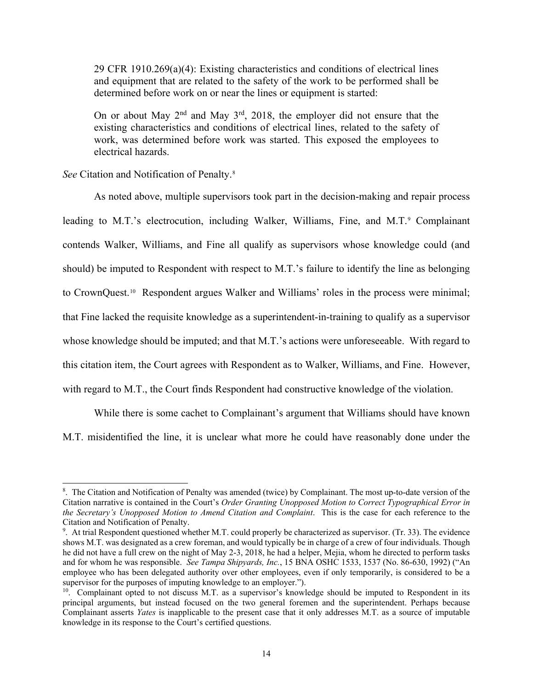29 CFR 1910.269(a)(4): Existing characteristics and conditions of electrical lines and equipment that are related to the safety of the work to be performed shall be determined before work on or near the lines or equipment is started:

On or about May  $2<sup>nd</sup>$  and May  $3<sup>rd</sup>$ , 2018, the employer did not ensure that the existing characteristics and conditions of electrical lines, related to the safety of work, was determined before work was started. This exposed the employees to electrical hazards.

*See* Citation and Notification of Penalty.[8](#page-13-0)

As noted above, multiple supervisors took part in the decision-making and repair process leading to M.T.'s electrocution, including Walker, Williams, Fine, and M.T.<sup>9</sup> Complainant contends Walker, Williams, and Fine all qualify as supervisors whose knowledge could (and should) be imputed to Respondent with respect to M.T.'s failure to identify the line as belonging to CrownQuest.[10](#page-13-2) Respondent argues Walker and Williams' roles in the process were minimal; that Fine lacked the requisite knowledge as a superintendent-in-training to qualify as a supervisor whose knowledge should be imputed; and that M.T.'s actions were unforeseeable. With regard to this citation item, the Court agrees with Respondent as to Walker, Williams, and Fine. However, with regard to M.T., the Court finds Respondent had constructive knowledge of the violation.

While there is some cachet to Complainant's argument that Williams should have known M.T. misidentified the line, it is unclear what more he could have reasonably done under the

<span id="page-13-0"></span><sup>8</sup> . The Citation and Notification of Penalty was amended (twice) by Complainant. The most up-to-date version of the Citation narrative is contained in the Court's *Order Granting Unopposed Motion to Correct Typographical Error in the Secretary's Unopposed Motion to Amend Citation and Complaint*. This is the case for each reference to the Citation and Notification of Penalty.

<span id="page-13-1"></span> $9.$  At trial Respondent questioned whether M.T. could properly be characterized as supervisor. (Tr. 33). The evidence shows M.T. was designated as a crew foreman, and would typically be in charge of a crew of four individuals. Though he did not have a full crew on the night of May 2-3, 2018, he had a helper, Mejia, whom he directed to perform tasks and for whom he was responsible. *See Tampa Shipyards, Inc.*, 15 BNA OSHC 1533, 1537 (No. 86-630, 1992) ("An employee who has been delegated authority over other employees, even if only temporarily, is considered to be a supervisor for the purposes of imputing knowledge to an employer.").

<span id="page-13-2"></span><sup>&</sup>lt;sup>10</sup>. Complainant opted to not discuss M.T. as a supervisor's knowledge should be imputed to Respondent in its principal arguments, but instead focused on the two general foremen and the superintendent. Perhaps because Complainant asserts *Yates* is inapplicable to the present case that it only addresses M.T. as a source of imputable knowledge in its response to the Court's certified questions.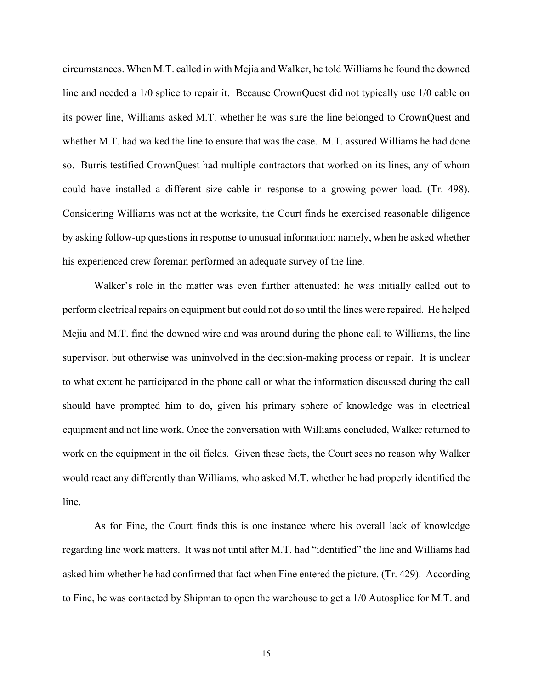circumstances. When M.T. called in with Mejia and Walker, he told Williams he found the downed line and needed a 1/0 splice to repair it. Because CrownQuest did not typically use 1/0 cable on its power line, Williams asked M.T. whether he was sure the line belonged to CrownQuest and whether M.T. had walked the line to ensure that was the case. M.T. assured Williams he had done so. Burris testified CrownQuest had multiple contractors that worked on its lines, any of whom could have installed a different size cable in response to a growing power load. (Tr. 498). Considering Williams was not at the worksite, the Court finds he exercised reasonable diligence by asking follow-up questions in response to unusual information; namely, when he asked whether his experienced crew foreman performed an adequate survey of the line.

Walker's role in the matter was even further attenuated: he was initially called out to perform electrical repairs on equipment but could not do so until the lines were repaired. He helped Mejia and M.T. find the downed wire and was around during the phone call to Williams, the line supervisor, but otherwise was uninvolved in the decision-making process or repair. It is unclear to what extent he participated in the phone call or what the information discussed during the call should have prompted him to do, given his primary sphere of knowledge was in electrical equipment and not line work. Once the conversation with Williams concluded, Walker returned to work on the equipment in the oil fields. Given these facts, the Court sees no reason why Walker would react any differently than Williams, who asked M.T. whether he had properly identified the line.

As for Fine, the Court finds this is one instance where his overall lack of knowledge regarding line work matters. It was not until after M.T. had "identified" the line and Williams had asked him whether he had confirmed that fact when Fine entered the picture. (Tr. 429). According to Fine, he was contacted by Shipman to open the warehouse to get a 1/0 Autosplice for M.T. and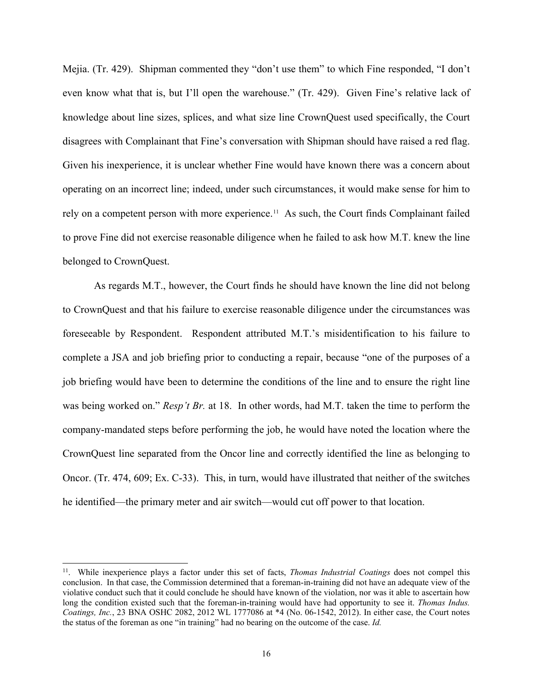Mejia. (Tr. 429). Shipman commented they "don't use them" to which Fine responded, "I don't even know what that is, but I'll open the warehouse." (Tr. 429). Given Fine's relative lack of knowledge about line sizes, splices, and what size line CrownQuest used specifically, the Court disagrees with Complainant that Fine's conversation with Shipman should have raised a red flag. Given his inexperience, it is unclear whether Fine would have known there was a concern about operating on an incorrect line; indeed, under such circumstances, it would make sense for him to rely on a competent person with more experience.<sup>[11](#page-15-0)</sup> As such, the Court finds Complainant failed to prove Fine did not exercise reasonable diligence when he failed to ask how M.T. knew the line belonged to CrownQuest.

As regards M.T., however, the Court finds he should have known the line did not belong to CrownQuest and that his failure to exercise reasonable diligence under the circumstances was foreseeable by Respondent. Respondent attributed M.T.'s misidentification to his failure to complete a JSA and job briefing prior to conducting a repair, because "one of the purposes of a job briefing would have been to determine the conditions of the line and to ensure the right line was being worked on." *Resp't Br.* at 18. In other words, had M.T. taken the time to perform the company-mandated steps before performing the job, he would have noted the location where the CrownQuest line separated from the Oncor line and correctly identified the line as belonging to Oncor. (Tr. 474, 609; Ex. C-33). This, in turn, would have illustrated that neither of the switches he identified—the primary meter and air switch—would cut off power to that location.

<span id="page-15-0"></span><sup>11.</sup> While inexperience plays a factor under this set of facts, *Thomas Industrial Coatings* does not compel this conclusion. In that case, the Commission determined that a foreman-in-training did not have an adequate view of the violative conduct such that it could conclude he should have known of the violation, nor was it able to ascertain how long the condition existed such that the foreman-in-training would have had opportunity to see it. *Thomas Indus. Coatings, Inc.*, 23 BNA OSHC 2082, 2012 WL 1777086 at \*4 (No. 06-1542, 2012). In either case, the Court notes the status of the foreman as one "in training" had no bearing on the outcome of the case. *Id.*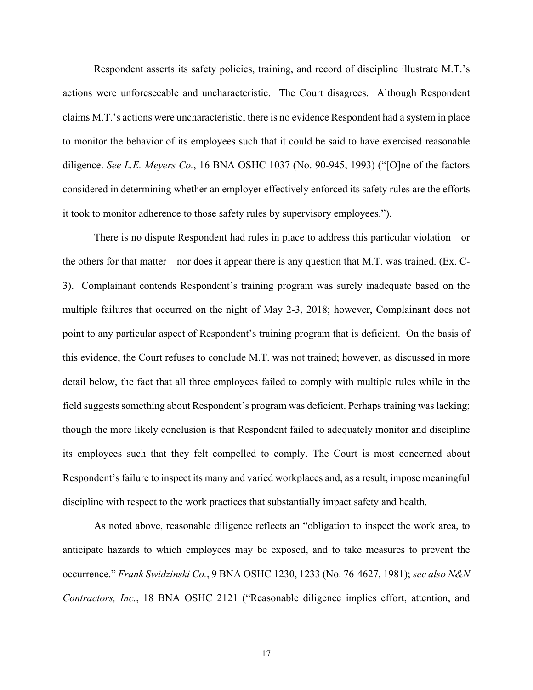Respondent asserts its safety policies, training, and record of discipline illustrate M.T.'s actions were unforeseeable and uncharacteristic. The Court disagrees. Although Respondent claims M.T.'s actions were uncharacteristic, there is no evidence Respondent had a system in place to monitor the behavior of its employees such that it could be said to have exercised reasonable diligence. *See L.E. Meyers Co.*, 16 BNA OSHC 1037 (No. 90-945, 1993) ("[O]ne of the factors considered in determining whether an employer effectively enforced its safety rules are the efforts it took to monitor adherence to those safety rules by supervisory employees.").

There is no dispute Respondent had rules in place to address this particular violation—or the others for that matter—nor does it appear there is any question that M.T. was trained. (Ex. C-3). Complainant contends Respondent's training program was surely inadequate based on the multiple failures that occurred on the night of May 2-3, 2018; however, Complainant does not point to any particular aspect of Respondent's training program that is deficient. On the basis of this evidence, the Court refuses to conclude M.T. was not trained; however, as discussed in more detail below, the fact that all three employees failed to comply with multiple rules while in the field suggests something about Respondent's program was deficient. Perhaps training was lacking; though the more likely conclusion is that Respondent failed to adequately monitor and discipline its employees such that they felt compelled to comply. The Court is most concerned about Respondent's failure to inspect its many and varied workplaces and, as a result, impose meaningful discipline with respect to the work practices that substantially impact safety and health.

As noted above, reasonable diligence reflects an "obligation to inspect the work area, to anticipate hazards to which employees may be exposed, and to take measures to prevent the occurrence." *Frank Swidzinski Co.*, 9 BNA OSHC 1230, 1233 (No. 76-4627, 1981); *see also N&N Contractors, Inc.*, 18 BNA OSHC 2121 ("Reasonable diligence implies effort, attention, and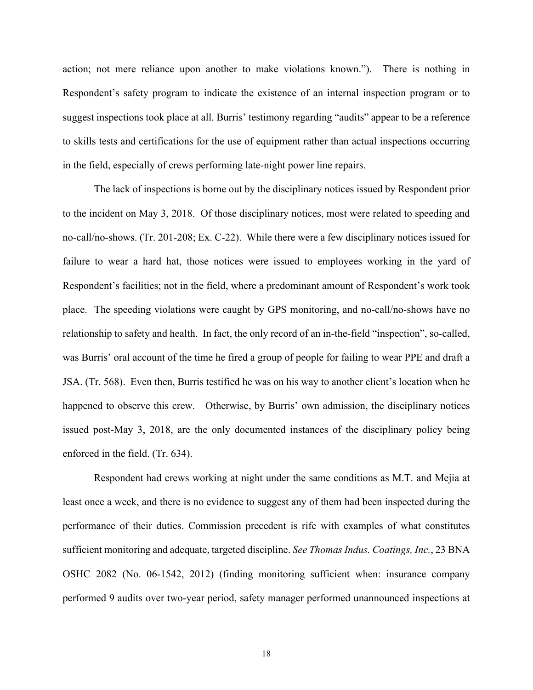action; not mere reliance upon another to make violations known."). There is nothing in Respondent's safety program to indicate the existence of an internal inspection program or to suggest inspections took place at all. Burris' testimony regarding "audits" appear to be a reference to skills tests and certifications for the use of equipment rather than actual inspections occurring in the field, especially of crews performing late-night power line repairs.

The lack of inspections is borne out by the disciplinary notices issued by Respondent prior to the incident on May 3, 2018. Of those disciplinary notices, most were related to speeding and no-call/no-shows. (Tr. 201-208; Ex. C-22). While there were a few disciplinary notices issued for failure to wear a hard hat, those notices were issued to employees working in the yard of Respondent's facilities; not in the field, where a predominant amount of Respondent's work took place. The speeding violations were caught by GPS monitoring, and no-call/no-shows have no relationship to safety and health. In fact, the only record of an in-the-field "inspection", so-called, was Burris' oral account of the time he fired a group of people for failing to wear PPE and draft a JSA. (Tr. 568). Even then, Burris testified he was on his way to another client's location when he happened to observe this crew. Otherwise, by Burris' own admission, the disciplinary notices issued post-May 3, 2018, are the only documented instances of the disciplinary policy being enforced in the field. (Tr. 634).

Respondent had crews working at night under the same conditions as M.T. and Mejia at least once a week, and there is no evidence to suggest any of them had been inspected during the performance of their duties. Commission precedent is rife with examples of what constitutes sufficient monitoring and adequate, targeted discipline. *See Thomas Indus. Coatings, Inc.*, 23 BNA OSHC 2082 (No. 06-1542, 2012) (finding monitoring sufficient when: insurance company performed 9 audits over two-year period, safety manager performed unannounced inspections at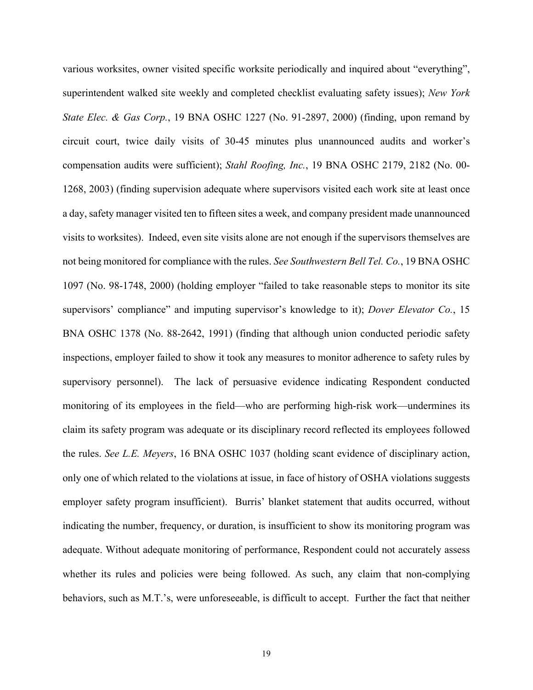various worksites, owner visited specific worksite periodically and inquired about "everything", superintendent walked site weekly and completed checklist evaluating safety issues); *New York State Elec. & Gas Corp.*, 19 BNA OSHC 1227 (No. 91-2897, 2000) (finding, upon remand by circuit court, twice daily visits of 30-45 minutes plus unannounced audits and worker's compensation audits were sufficient); *Stahl Roofing, Inc.*, 19 BNA OSHC 2179, 2182 (No. 00- 1268, 2003) (finding supervision adequate where supervisors visited each work site at least once a day, safety manager visited ten to fifteen sites a week, and company president made unannounced visits to worksites). Indeed, even site visits alone are not enough if the supervisors themselves are not being monitored for compliance with the rules. *See Southwestern Bell Tel. Co.*, 19 BNA OSHC 1097 (No. 98-1748, 2000) (holding employer "failed to take reasonable steps to monitor its site supervisors' compliance" and imputing supervisor's knowledge to it); *Dover Elevator Co.*, 15 BNA OSHC 1378 (No. 88-2642, 1991) (finding that although union conducted periodic safety inspections, employer failed to show it took any measures to monitor adherence to safety rules by supervisory personnel). The lack of persuasive evidence indicating Respondent conducted monitoring of its employees in the field—who are performing high-risk work—undermines its claim its safety program was adequate or its disciplinary record reflected its employees followed the rules. *See L.E. Meyers*, 16 BNA OSHC 1037 (holding scant evidence of disciplinary action, only one of which related to the violations at issue, in face of history of OSHA violations suggests employer safety program insufficient). Burris' blanket statement that audits occurred, without indicating the number, frequency, or duration, is insufficient to show its monitoring program was adequate. Without adequate monitoring of performance, Respondent could not accurately assess whether its rules and policies were being followed. As such, any claim that non-complying behaviors, such as M.T.'s, were unforeseeable, is difficult to accept. Further the fact that neither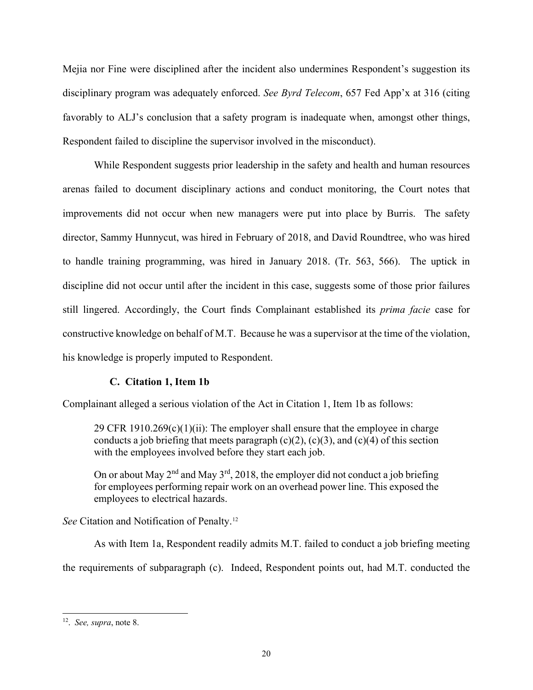Mejia nor Fine were disciplined after the incident also undermines Respondent's suggestion its disciplinary program was adequately enforced. *See Byrd Telecom*, 657 Fed App'x at 316 (citing favorably to ALJ's conclusion that a safety program is inadequate when, amongst other things, Respondent failed to discipline the supervisor involved in the misconduct).

While Respondent suggests prior leadership in the safety and health and human resources arenas failed to document disciplinary actions and conduct monitoring, the Court notes that improvements did not occur when new managers were put into place by Burris. The safety director, Sammy Hunnycut, was hired in February of 2018, and David Roundtree, who was hired to handle training programming, was hired in January 2018. (Tr. 563, 566). The uptick in discipline did not occur until after the incident in this case, suggests some of those prior failures still lingered. Accordingly, the Court finds Complainant established its *prima facie* case for constructive knowledge on behalf of M.T. Because he was a supervisor at the time of the violation, his knowledge is properly imputed to Respondent.

# **C. Citation 1, Item 1b**

Complainant alleged a serious violation of the Act in Citation 1, Item 1b as follows:

29 CFR 1910.269(c)(1)(ii): The employer shall ensure that the employee in charge conducts a job briefing that meets paragraph  $(c)(2)$ ,  $(c)(3)$ , and  $(c)(4)$  of this section with the employees involved before they start each job.

On or about May  $2^{nd}$  and May  $3^{rd}$ , 2018, the employer did not conduct a job briefing for employees performing repair work on an overhead power line. This exposed the employees to electrical hazards.

*See* Citation and Notification of Penalty.[12](#page-19-0)

As with Item 1a, Respondent readily admits M.T. failed to conduct a job briefing meeting the requirements of subparagraph (c). Indeed, Respondent points out, had M.T. conducted the

<span id="page-19-0"></span><sup>12.</sup> *See, supra*, note 8.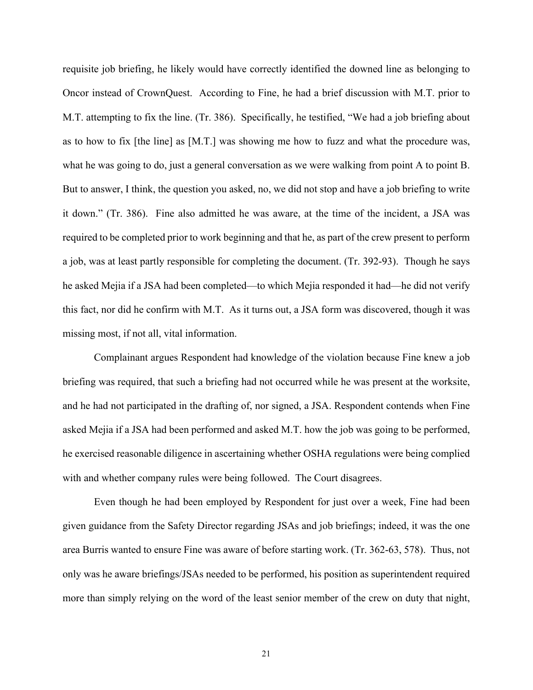requisite job briefing, he likely would have correctly identified the downed line as belonging to Oncor instead of CrownQuest. According to Fine, he had a brief discussion with M.T. prior to M.T. attempting to fix the line. (Tr. 386). Specifically, he testified, "We had a job briefing about as to how to fix [the line] as [M.T.] was showing me how to fuzz and what the procedure was, what he was going to do, just a general conversation as we were walking from point A to point B. But to answer, I think, the question you asked, no, we did not stop and have a job briefing to write it down." (Tr. 386). Fine also admitted he was aware, at the time of the incident, a JSA was required to be completed prior to work beginning and that he, as part of the crew present to perform a job, was at least partly responsible for completing the document. (Tr. 392-93). Though he says he asked Mejia if a JSA had been completed—to which Mejia responded it had—he did not verify this fact, nor did he confirm with M.T. As it turns out, a JSA form was discovered, though it was missing most, if not all, vital information.

Complainant argues Respondent had knowledge of the violation because Fine knew a job briefing was required, that such a briefing had not occurred while he was present at the worksite, and he had not participated in the drafting of, nor signed, a JSA. Respondent contends when Fine asked Mejia if a JSA had been performed and asked M.T. how the job was going to be performed, he exercised reasonable diligence in ascertaining whether OSHA regulations were being complied with and whether company rules were being followed. The Court disagrees.

Even though he had been employed by Respondent for just over a week, Fine had been given guidance from the Safety Director regarding JSAs and job briefings; indeed, it was the one area Burris wanted to ensure Fine was aware of before starting work. (Tr. 362-63, 578). Thus, not only was he aware briefings/JSAs needed to be performed, his position as superintendent required more than simply relying on the word of the least senior member of the crew on duty that night,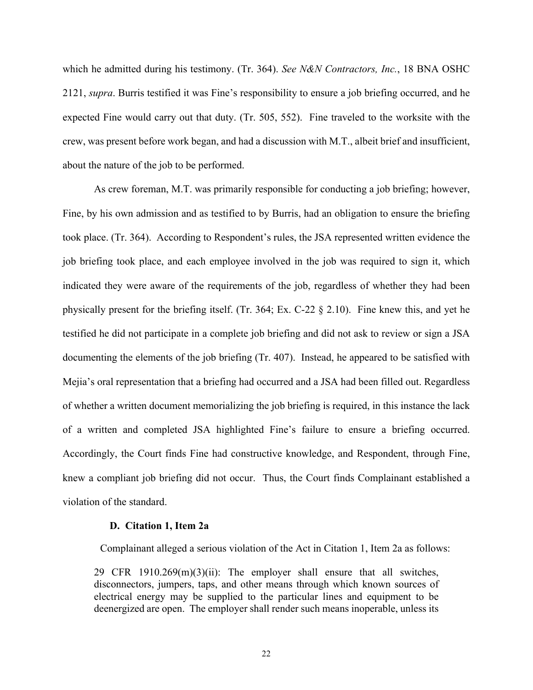which he admitted during his testimony. (Tr. 364). *See N&N Contractors, Inc.*, 18 BNA OSHC 2121, *supra*. Burris testified it was Fine's responsibility to ensure a job briefing occurred, and he expected Fine would carry out that duty. (Tr. 505, 552). Fine traveled to the worksite with the crew, was present before work began, and had a discussion with M.T., albeit brief and insufficient, about the nature of the job to be performed.

As crew foreman, M.T. was primarily responsible for conducting a job briefing; however, Fine, by his own admission and as testified to by Burris, had an obligation to ensure the briefing took place. (Tr. 364). According to Respondent's rules, the JSA represented written evidence the job briefing took place, and each employee involved in the job was required to sign it, which indicated they were aware of the requirements of the job, regardless of whether they had been physically present for the briefing itself. (Tr. 364; Ex. C-22 § 2.10). Fine knew this, and yet he testified he did not participate in a complete job briefing and did not ask to review or sign a JSA documenting the elements of the job briefing (Tr. 407). Instead, he appeared to be satisfied with Mejia's oral representation that a briefing had occurred and a JSA had been filled out. Regardless of whether a written document memorializing the job briefing is required, in this instance the lack of a written and completed JSA highlighted Fine's failure to ensure a briefing occurred. Accordingly, the Court finds Fine had constructive knowledge, and Respondent, through Fine, knew a compliant job briefing did not occur. Thus, the Court finds Complainant established a violation of the standard.

#### **D. Citation 1, Item 2a**

Complainant alleged a serious violation of the Act in Citation 1, Item 2a as follows:

29 CFR  $1910.269(m)(3)(ii)$ : The employer shall ensure that all switches, disconnectors, jumpers, taps, and other means through which known sources of electrical energy may be supplied to the particular lines and equipment to be deenergized are open. The employer shall render such means inoperable, unless its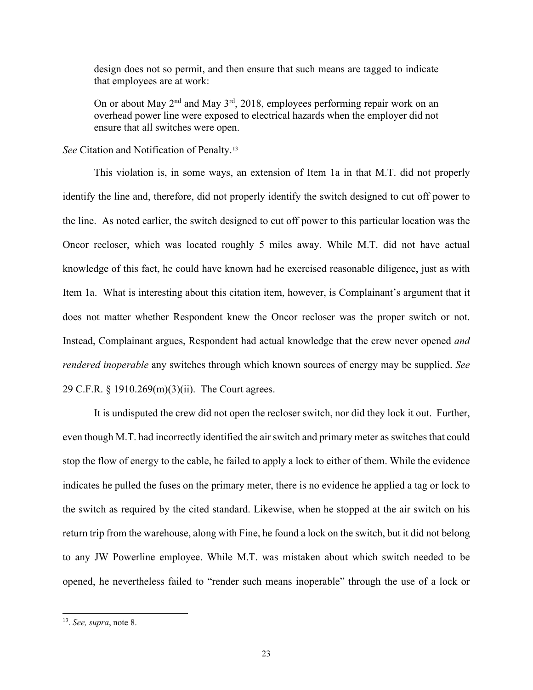design does not so permit, and then ensure that such means are tagged to indicate that employees are at work:

On or about May  $2<sup>nd</sup>$  and May  $3<sup>rd</sup>$ , 2018, employees performing repair work on an overhead power line were exposed to electrical hazards when the employer did not ensure that all switches were open.

*See* Citation and Notification of Penalty.[13](#page-22-0)

This violation is, in some ways, an extension of Item 1a in that M.T. did not properly identify the line and, therefore, did not properly identify the switch designed to cut off power to the line. As noted earlier, the switch designed to cut off power to this particular location was the Oncor recloser, which was located roughly 5 miles away. While M.T. did not have actual knowledge of this fact, he could have known had he exercised reasonable diligence, just as with Item 1a. What is interesting about this citation item, however, is Complainant's argument that it does not matter whether Respondent knew the Oncor recloser was the proper switch or not. Instead, Complainant argues, Respondent had actual knowledge that the crew never opened *and rendered inoperable* any switches through which known sources of energy may be supplied. *See*  29 C.F.R. § 1910.269(m)(3)(ii). The Court agrees.

It is undisputed the crew did not open the recloser switch, nor did they lock it out. Further, even though M.T. had incorrectly identified the air switch and primary meter as switches that could stop the flow of energy to the cable, he failed to apply a lock to either of them. While the evidence indicates he pulled the fuses on the primary meter, there is no evidence he applied a tag or lock to the switch as required by the cited standard. Likewise, when he stopped at the air switch on his return trip from the warehouse, along with Fine, he found a lock on the switch, but it did not belong to any JW Powerline employee. While M.T. was mistaken about which switch needed to be opened, he nevertheless failed to "render such means inoperable" through the use of a lock or

<span id="page-22-0"></span><sup>13.</sup> *See, supra*, note 8.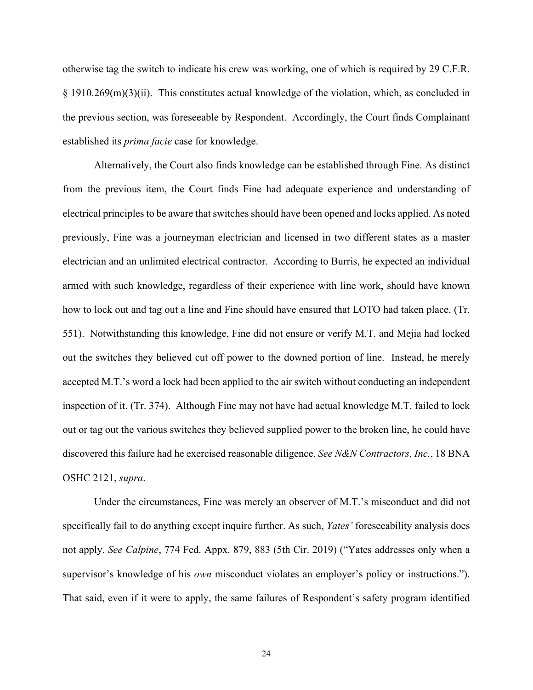otherwise tag the switch to indicate his crew was working, one of which is required by 29 C.F.R. § 1910.269(m)(3)(ii). This constitutes actual knowledge of the violation, which, as concluded in the previous section, was foreseeable by Respondent. Accordingly, the Court finds Complainant established its *prima facie* case for knowledge.

 Alternatively, the Court also finds knowledge can be established through Fine. As distinct from the previous item, the Court finds Fine had adequate experience and understanding of electrical principles to be aware that switches should have been opened and locks applied. As noted previously, Fine was a journeyman electrician and licensed in two different states as a master electrician and an unlimited electrical contractor. According to Burris, he expected an individual armed with such knowledge, regardless of their experience with line work, should have known how to lock out and tag out a line and Fine should have ensured that LOTO had taken place. (Tr. 551). Notwithstanding this knowledge, Fine did not ensure or verify M.T. and Mejia had locked out the switches they believed cut off power to the downed portion of line. Instead, he merely accepted M.T.'s word a lock had been applied to the air switch without conducting an independent inspection of it. (Tr. 374). Although Fine may not have had actual knowledge M.T. failed to lock out or tag out the various switches they believed supplied power to the broken line, he could have discovered this failure had he exercised reasonable diligence. *See N&N Contractors, Inc.*, 18 BNA OSHC 2121, *supra*.

Under the circumstances, Fine was merely an observer of M.T.'s misconduct and did not specifically fail to do anything except inquire further. As such, *Yates'* foreseeability analysis does not apply. *See Calpine*, 774 Fed. Appx. 879, 883 (5th Cir. 2019) ("Yates addresses only when a supervisor's knowledge of his *own* misconduct violates an employer's policy or instructions."). That said, even if it were to apply, the same failures of Respondent's safety program identified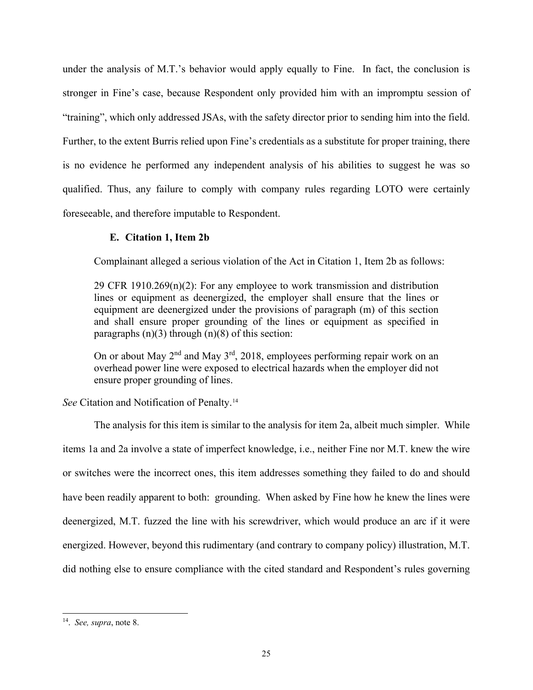under the analysis of M.T.'s behavior would apply equally to Fine. In fact, the conclusion is stronger in Fine's case, because Respondent only provided him with an impromptu session of "training", which only addressed JSAs, with the safety director prior to sending him into the field. Further, to the extent Burris relied upon Fine's credentials as a substitute for proper training, there is no evidence he performed any independent analysis of his abilities to suggest he was so qualified. Thus, any failure to comply with company rules regarding LOTO were certainly foreseeable, and therefore imputable to Respondent.

# **E. Citation 1, Item 2b**

Complainant alleged a serious violation of the Act in Citation 1, Item 2b as follows:

29 CFR 1910.269(n)(2): For any employee to work transmission and distribution lines or equipment as deenergized, the employer shall ensure that the lines or equipment are deenergized under the provisions of paragraph (m) of this section and shall ensure proper grounding of the lines or equipment as specified in paragraphs  $(n)(3)$  through  $(n)(8)$  of this section:

On or about May  $2<sup>nd</sup>$  and May  $3<sup>rd</sup>$ , 2018, employees performing repair work on an overhead power line were exposed to electrical hazards when the employer did not ensure proper grounding of lines.

*See* Citation and Notification of Penalty.[14](#page-24-0)

The analysis for this item is similar to the analysis for item 2a, albeit much simpler. While items 1a and 2a involve a state of imperfect knowledge, i.e., neither Fine nor M.T. knew the wire or switches were the incorrect ones, this item addresses something they failed to do and should have been readily apparent to both: grounding. When asked by Fine how he knew the lines were deenergized, M.T. fuzzed the line with his screwdriver, which would produce an arc if it were energized. However, beyond this rudimentary (and contrary to company policy) illustration, M.T. did nothing else to ensure compliance with the cited standard and Respondent's rules governing

<span id="page-24-0"></span><sup>14.</sup> *See, supra*, note 8.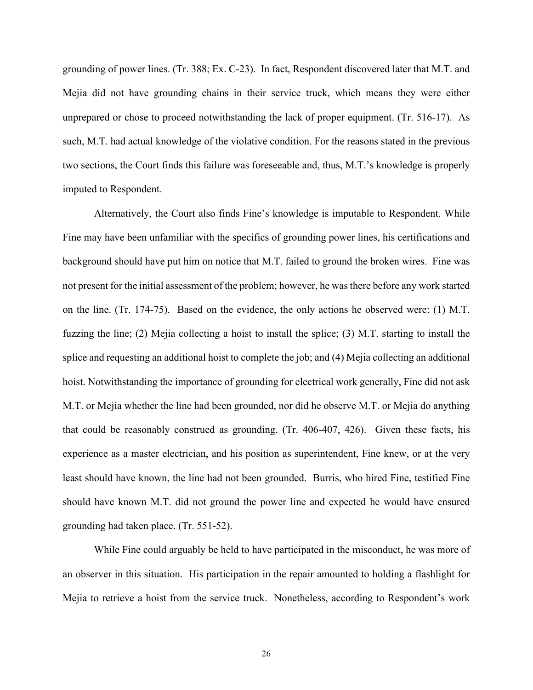grounding of power lines. (Tr. 388; Ex. C-23). In fact, Respondent discovered later that M.T. and Mejia did not have grounding chains in their service truck, which means they were either unprepared or chose to proceed notwithstanding the lack of proper equipment. (Tr. 516-17). As such, M.T. had actual knowledge of the violative condition. For the reasons stated in the previous two sections, the Court finds this failure was foreseeable and, thus, M.T.'s knowledge is properly imputed to Respondent.

Alternatively, the Court also finds Fine's knowledge is imputable to Respondent. While Fine may have been unfamiliar with the specifics of grounding power lines, his certifications and background should have put him on notice that M.T. failed to ground the broken wires. Fine was not present for the initial assessment of the problem; however, he was there before any work started on the line. (Tr. 174-75). Based on the evidence, the only actions he observed were: (1) M.T. fuzzing the line; (2) Mejia collecting a hoist to install the splice; (3) M.T. starting to install the splice and requesting an additional hoist to complete the job; and (4) Mejia collecting an additional hoist. Notwithstanding the importance of grounding for electrical work generally, Fine did not ask M.T. or Mejia whether the line had been grounded, nor did he observe M.T. or Mejia do anything that could be reasonably construed as grounding. (Tr. 406-407, 426). Given these facts, his experience as a master electrician, and his position as superintendent, Fine knew, or at the very least should have known, the line had not been grounded. Burris, who hired Fine, testified Fine should have known M.T. did not ground the power line and expected he would have ensured grounding had taken place. (Tr. 551-52).

While Fine could arguably be held to have participated in the misconduct, he was more of an observer in this situation. His participation in the repair amounted to holding a flashlight for Mejia to retrieve a hoist from the service truck. Nonetheless, according to Respondent's work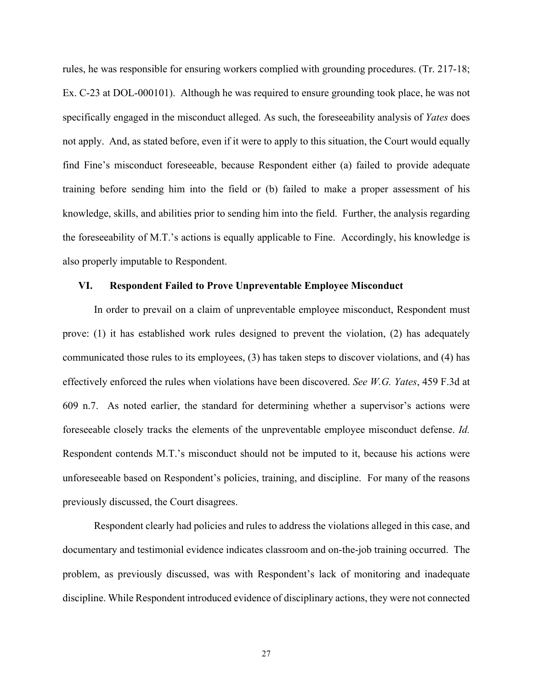rules, he was responsible for ensuring workers complied with grounding procedures. (Tr. 217-18; Ex. C-23 at DOL-000101). Although he was required to ensure grounding took place, he was not specifically engaged in the misconduct alleged. As such, the foreseeability analysis of *Yates* does not apply. And, as stated before, even if it were to apply to this situation, the Court would equally find Fine's misconduct foreseeable, because Respondent either (a) failed to provide adequate training before sending him into the field or (b) failed to make a proper assessment of his knowledge, skills, and abilities prior to sending him into the field. Further, the analysis regarding the foreseeability of M.T.'s actions is equally applicable to Fine. Accordingly, his knowledge is also properly imputable to Respondent.

# **VI. Respondent Failed to Prove Unpreventable Employee Misconduct**

In order to prevail on a claim of unpreventable employee misconduct, Respondent must prove: (1) it has established work rules designed to prevent the violation, (2) has adequately communicated those rules to its employees, (3) has taken steps to discover violations, and (4) has effectively enforced the rules when violations have been discovered. *See W.G. Yates*, 459 F.3d at 609 n.7. As noted earlier, the standard for determining whether a supervisor's actions were foreseeable closely tracks the elements of the unpreventable employee misconduct defense. *Id.* Respondent contends M.T.'s misconduct should not be imputed to it, because his actions were unforeseeable based on Respondent's policies, training, and discipline. For many of the reasons previously discussed, the Court disagrees.

 Respondent clearly had policies and rules to address the violations alleged in this case, and documentary and testimonial evidence indicates classroom and on-the-job training occurred. The problem, as previously discussed, was with Respondent's lack of monitoring and inadequate discipline. While Respondent introduced evidence of disciplinary actions, they were not connected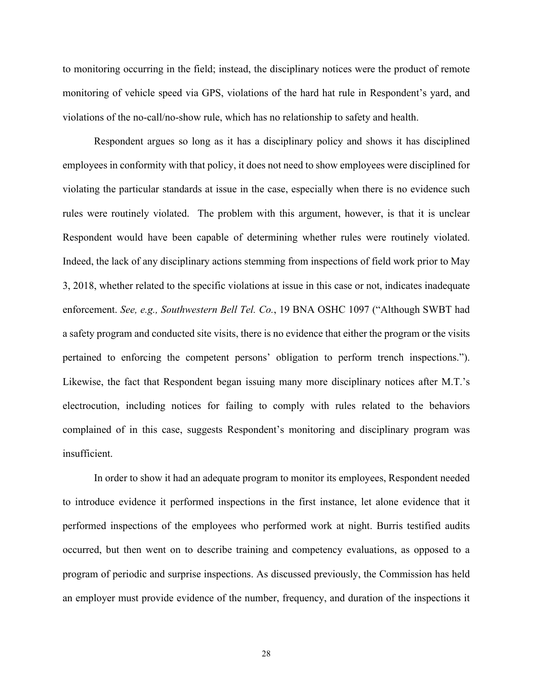to monitoring occurring in the field; instead, the disciplinary notices were the product of remote monitoring of vehicle speed via GPS, violations of the hard hat rule in Respondent's yard, and violations of the no-call/no-show rule, which has no relationship to safety and health.

Respondent argues so long as it has a disciplinary policy and shows it has disciplined employees in conformity with that policy, it does not need to show employees were disciplined for violating the particular standards at issue in the case, especially when there is no evidence such rules were routinely violated. The problem with this argument, however, is that it is unclear Respondent would have been capable of determining whether rules were routinely violated. Indeed, the lack of any disciplinary actions stemming from inspections of field work prior to May 3, 2018, whether related to the specific violations at issue in this case or not, indicates inadequate enforcement. *See, e.g., Southwestern Bell Tel. Co.*, 19 BNA OSHC 1097 ("Although SWBT had a safety program and conducted site visits, there is no evidence that either the program or the visits pertained to enforcing the competent persons' obligation to perform trench inspections."). Likewise, the fact that Respondent began issuing many more disciplinary notices after M.T.'s electrocution, including notices for failing to comply with rules related to the behaviors complained of in this case, suggests Respondent's monitoring and disciplinary program was insufficient.

In order to show it had an adequate program to monitor its employees, Respondent needed to introduce evidence it performed inspections in the first instance, let alone evidence that it performed inspections of the employees who performed work at night. Burris testified audits occurred, but then went on to describe training and competency evaluations, as opposed to a program of periodic and surprise inspections. As discussed previously, the Commission has held an employer must provide evidence of the number, frequency, and duration of the inspections it

28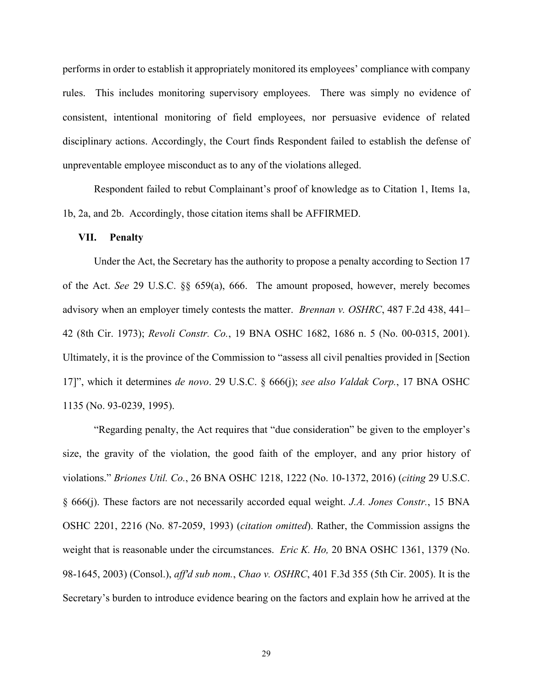performs in order to establish it appropriately monitored its employees' compliance with company rules. This includes monitoring supervisory employees. There was simply no evidence of consistent, intentional monitoring of field employees, nor persuasive evidence of related disciplinary actions. Accordingly, the Court finds Respondent failed to establish the defense of unpreventable employee misconduct as to any of the violations alleged.

Respondent failed to rebut Complainant's proof of knowledge as to Citation 1, Items 1a, 1b, 2a, and 2b. Accordingly, those citation items shall be AFFIRMED.

#### **VII. Penalty**

Under the Act, the Secretary has the authority to propose a penalty according to Section 17 of the Act. *See* 29 U.S.C. §§ 659(a), 666. The amount proposed, however, merely becomes advisory when an employer timely contests the matter. *Brennan v. OSHRC*, 487 F.2d 438, 441– 42 (8th Cir. 1973); *Revoli Constr. Co.*, 19 BNA OSHC 1682, 1686 n. 5 (No. 00-0315, 2001). Ultimately, it is the province of the Commission to "assess all civil penalties provided in [Section 17]", which it determines *de novo*. 29 U.S.C. § 666(j); *see also Valdak Corp.*, 17 BNA OSHC 1135 (No. 93-0239, 1995).

"Regarding penalty, the Act requires that "due consideration" be given to the employer's size, the gravity of the violation, the good faith of the employer, and any prior history of violations." *Briones Util. Co.*, 26 BNA OSHC 1218, 1222 (No. 10-1372, 2016) (*citing* 29 U.S.C. § 666(j). These factors are not necessarily accorded equal weight. *J.A. Jones Constr.*, 15 BNA OSHC 2201, 2216 (No. 87-2059, 1993) (*citation omitted*). Rather, the Commission assigns the weight that is reasonable under the circumstances. *Eric K. Ho,* 20 BNA OSHC 1361, 1379 (No. 98-1645, 2003) (Consol.), *aff'd sub nom.*, *Chao v. OSHRC*, 401 F.3d 355 (5th Cir. 2005). It is the Secretary's burden to introduce evidence bearing on the factors and explain how he arrived at the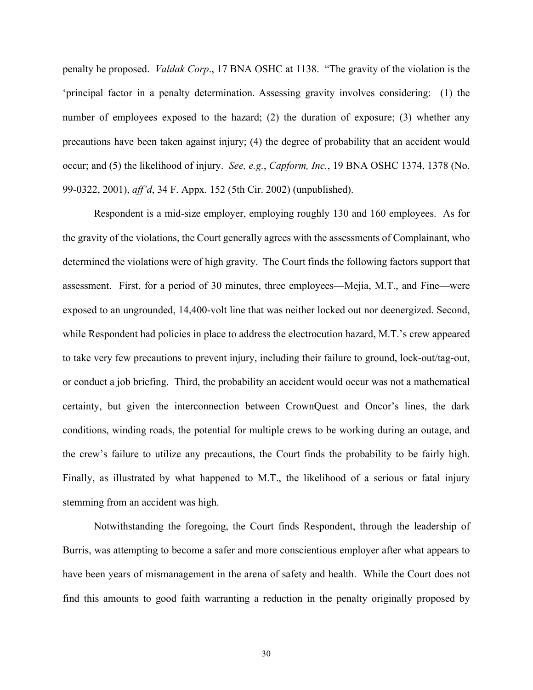penalty he proposed. *Valdak Corp*., 17 BNA OSHC at 1138. "The gravity of the violation is the 'principal factor in a penalty determination. Assessing gravity involves considering: (1) the number of employees exposed to the hazard; (2) the duration of exposure; (3) whether any precautions have been taken against injury; (4) the degree of probability that an accident would occur; and (5) the likelihood of injury. *See, e.g.*, *Capform, Inc.*, 19 BNA OSHC 1374, 1378 (No. 99-0322, 2001), *aff'd*, 34 F. Appx. 152 (5th Cir. 2002) (unpublished).

Respondent is a mid-size employer, employing roughly 130 and 160 employees. As for the gravity of the violations, the Court generally agrees with the assessments of Complainant, who determined the violations were of high gravity. The Court finds the following factors support that assessment. First, for a period of 30 minutes, three employees—Mejia, M.T., and Fine—were exposed to an ungrounded, 14,400-volt line that was neither locked out nor deenergized. Second, while Respondent had policies in place to address the electrocution hazard, M.T.'s crew appeared to take very few precautions to prevent injury, including their failure to ground, lock-out/tag-out, or conduct a job briefing. Third, the probability an accident would occur was not a mathematical certainty, but given the interconnection between CrownQuest and Oncor's lines, the dark conditions, winding roads, the potential for multiple crews to be working during an outage, and the crew's failure to utilize any precautions, the Court finds the probability to be fairly high. Finally, as illustrated by what happened to M.T., the likelihood of a serious or fatal injury stemming from an accident was high.

Notwithstanding the foregoing, the Court finds Respondent, through the leadership of Burris, was attempting to become a safer and more conscientious employer after what appears to have been years of mismanagement in the arena of safety and health. While the Court does not find this amounts to good faith warranting a reduction in the penalty originally proposed by